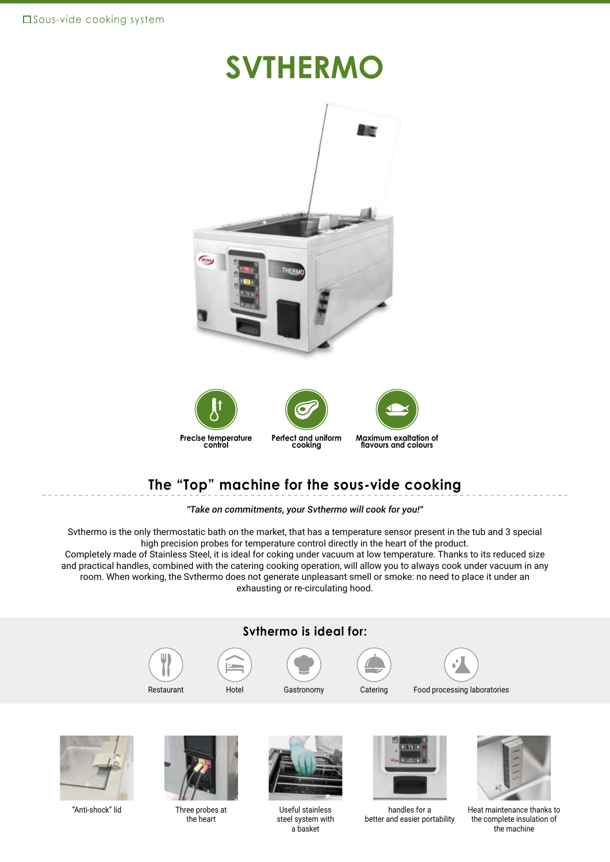## **SVTHERMO**



**Perfect and uniform cooking Precise temperature control**



**flavours and colours**

### **The "Top" machine for the sous-vide cooking**

*"Take on commitments, your Svthermo will cook for you!"*

Svthermo is the only thermostatic bath on the market, that has a temperature sensor present in the tub and 3 special high precision probes for temperature control directly in the heart of the product.

Completely made of Stainless Steel, it is ideal for coking under vacuum at low temperature. Thanks to its reduced size and practical handles, combined with the catering cooking operation, will allow you to always cook under vacuum in any room. When working, the Svthermo does not generate unpleasant smell or smoke: no need to place it under an exhausting or re-circulating hood.







"Anti-shock" lid Three probes at the heart



Useful stainless steel system with a basket



handles for a better and easier portability



Heat maintenance thanks to the complete insulation of the machine